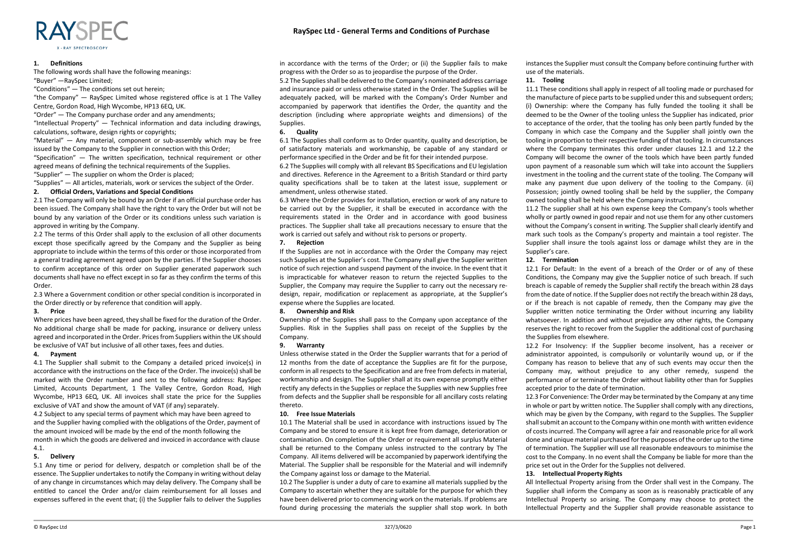## **1. Definitions**

The following words shall have the following meanings:

"Buyer" —RaySpec Limited;

"Conditions" — The conditions set out herein;

"the Company" — RaySpec Limited whose registered office is at 1 The Valley Centre, Gordon Road, High Wycombe, HP13 6EQ, UK.

"Order" — The Company purchase order and any amendments;

"Intellectual Property" — Technical information and data including drawings, calculations, software, design rights or copyrights;

"Material" — Any material, component or sub-assembly which may be free issued by the Company to the Supplier in connection with this Order; "Specification" — The written specification, technical requirement or other agreed means of defining the technical requirements of the Supplies.

"Supplier" — The supplier on whom the Order is placed;

"Supplies"  $-$  All articles, materials, work or services the subject of the Order.

# **2. Official Orders, Variations and Special Conditions**

2.1 The Company will only be bound by an Order if an official purchase order has been issued. The Company shall have the right to vary the Order but will not be bound by any variation of the Order or its conditions unless such variation is approved in writing by the Company.

2.2 The terms of this Order shall apply to the exclusion of all other documents except those specifically agreed by the Company and the Supplier as being appropriate to include within the terms of this order or those incorporated from a general trading agreement agreed upon by the parties. If the Supplier chooses to confirm acceptance of this order on Supplier generated paperwork such documents shall have no effect except in so far as they confirm the terms of this Order.

2.3 Where a Government condition or other special condition is incorporated in the Order directly or by reference that condition will apply.

#### **3. Price**

Where prices have been agreed, they shall be fixed for the duration of the Order. No additional charge shall be made for packing, insurance or delivery unless agreed and incorporated in the Order. Prices from Suppliers within the UK should be exclusive of VAT but inclusive of all other taxes, fees and duties.

#### **4. Payment**

4.1 The Supplier shall submit to the Company a detailed priced invoice(s) in accordance with the instructions on the face of the Order. The invoice(s) shall be marked with the Order number and sent to the following address: RaySpec Limited, Accounts Department, 1 The Valley Centre, Gordon Road, High Wycombe, HP13 6EQ, UK. All invoices shall state the price for the Supplies exclusive of VAT and show the amount of VAT (if any) separately.

4.2 Subject to any special terms of payment which may have been agreed to and the Supplier having complied with the obligations of the Order, payment of the amount invoiced will be made by the end of the month following the month in which the goods are delivered and invoiced in accordance with clause 4.1.

## **5. Delivery**

5.1 Any time or period for delivery, despatch or completion shall be of the essence. The Supplier undertakes to notify the Company in writing without delay of any change in circumstances which may delay delivery. The Company shall be entitled to cancel the Order and/or claim reimbursement for all losses and expenses suffered in the event that; (i) the Supplier fails to deliver the Supplies in accordance with the terms of the Order; or (ii) the Supplier fails to make progress with the Order so as to jeopardise the purpose of the Order.

5.2 The Supplies shall be delivered to the Company's nominated address carriage and insurance paid or unless otherwise stated in the Order. The Supplies will be adequately packed, will be marked with the Company's Order Number and accompanied by paperwork that identifies the Order, the quantity and the description (including where appropriate weights and dimensions) of the Supplies.

## **6. Quality**

6.1 The Supplies shall conform as to Order quantity, quality and description, be of satisfactory materials and workmanship, be capable of any standard or performance specified in the Order and be fit for their intended purpose.

6.2 The Supplies will comply with all relevant BS Specifications and EU legislation and directives. Reference in the Agreement to a British Standard or third party quality specifications shall be to taken at the latest issue, supplement or amendment, unless otherwise stated.

6.3 Where the Order provides for installation, erection or work of any nature to be carried out by the Supplier, it shall be executed in accordance with the requirements stated in the Order and in accordance with good business practices. The Supplier shall take all precautions necessary to ensure that the work is carried out safely and without risk to persons or property.

#### **7. Rejection**

If the Supplies are not in accordance with the Order the Company may reject such Supplies at the Supplier's cost. The Company shall give the Supplier written notice of such rejection and suspend payment of the invoice. In the event that it is impracticable for whatever reason to return the rejected Supplies to the Supplier, the Company may require the Supplier to carry out the necessary redesign, repair, modification or replacement as appropriate, at the Supplier's expense where the Supplies are located.

#### **8. Ownership and Risk**

Ownership of the Supplies shall pass to the Company upon acceptance of the Supplies. Risk in the Supplies shall pass on receipt of the Supplies by the Company.

### **9. Warranty**

Unless otherwise stated in the Order the Supplier warrants that for a period of 12 months from the date of acceptance the Supplies are fit for the purpose, conform in all respects to the Specification and are free from defects in material, workmanship and design. The Supplier shall at its own expense promptly either rectify any defects in the Supplies or replace the Supplies with new Supplies free from defects and the Supplier shall be responsible for all ancillary costs relating thereto.

## **10. Free Issue Materials**

10.1 The Material shall be used in accordance with instructions issued by The Company and be stored to ensure it is kept free from damage, deterioration or contamination. On completion of the Order or requirement all surplus Material shall be returned to the Company unless instructed to the contrary by The Company. All items delivered will be accompanied by paperwork identifying the Material. The Supplier shall be responsible for the Material and will indemnify the Company against loss or damage to the Material.

10.2 The Supplier is under a duty of care to examine all materials supplied by the Company to ascertain whether they are suitable for the purpose for which they have been delivered prior to commencing work on the materials. If problems are found during processing the materials the supplier shall stop work. In both instances the Supplier must consult the Company before continuing further with use of the materials.

# **11. Tooling**

11.1 These conditions shall apply in respect of all tooling made or purchased for the manufacture of piece parts to be supplied under this and subsequent orders; (i) Ownership: where the Company has fully funded the tooling it shall be deemed to be the Owner of the tooling unless the Supplier has indicated, prior to acceptance of the order, that the tooling has only been partly funded by the Company in which case the Company and the Supplier shall jointly own the tooling in proportion to their respective funding of that tooling. In circumstances where the Company terminates this order under clauses 12.1 and 12.2 the Company will become the owner of the tools which have been partly funded upon payment of a reasonable sum which will take into account the Suppliers investment in the tooling and the current state of the tooling. The Company will make any payment due upon delivery of the tooling to the Company. (ii) Possession; jointly owned tooling shall be held by the supplier, the Company owned tooling shall be held where the Company instructs.

11.2 The supplier shall at his own expense keep the Company's tools whether wholly or partly owned in good repair and not use them for any other customers without the Company's consent in writing. The Supplier shall clearly identify and mark such tools as the Company's property and maintain a tool register. The Supplier shall insure the tools against loss or damage whilst they are in the Supplier's care.

## **12. Termination**

12.1 For Default: In the event of a breach of the Order or of any of these Conditions, the Company may give the Supplier notice of such breach. If such breach is capable of remedy the Supplier shall rectify the breach within 28 days from the date of notice. If the Supplier does not rectify the breach within 28 days, or if the breach is not capable of remedy, then the Company may give the Supplier written notice terminating the Order without incurring any liability whatsoever. In addition and without prejudice any other rights, the Company reserves the right to recover from the Supplier the additional cost of purchasing the Supplies from elsewhere.

12.2 For Insolvency: If the Supplier become insolvent, has a receiver or administrator appointed, is compulsorily or voluntarily wound up, or if the Company has reason to believe that any of such events may occur then the Company may, without prejudice to any other remedy, suspend the performance of or terminate the Order without liability other than for Supplies accepted prior to the date of termination.

12.3 For Convenience: The Order may be terminated by the Company at any time in whole or part by written notice. The Supplier shall comply with any directions, which may be given by the Company, with regard to the Supplies. The Supplier shall submit an account to the Company within one month with written evidence of costs incurred. The Company will agree a fair and reasonable price for all work done and unique material purchased for the purposes of the order up to the time of termination. The Supplier will use all reasonable endeavours to minimise the cost to the Company. In no event shall the Company be liable for more than the price set out in the Order for the Supplies not delivered.

## **13. Intellectual Property Rights**

All Intellectual Property arising from the Order shall vest in the Company. The Supplier shall inform the Company as soon as is reasonably practicable of any Intellectual Property so arising. The Company may choose to protect the Intellectual Property and the Supplier shall provide reasonable assistance to